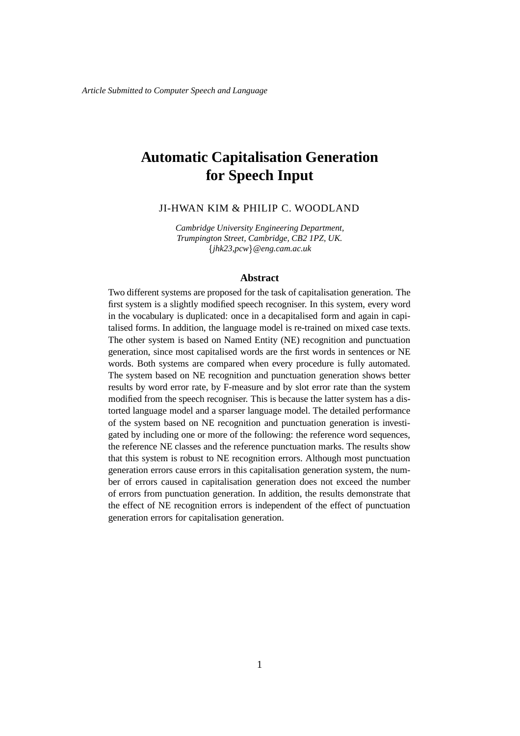# **Automatic Capitalisation Generation for Speech Input**

JI-HWAN KIM & PHILIP C. WOODLAND

*Cambridge University Engineering Department, Trumpington Street, Cambridge, CB2 1PZ, UK. jhk23,pcw @eng.cam.ac.uk*

#### **Abstract**

Two different systems are proposed for the task of capitalisation generation. The first system is a slightly modified speech recogniser. In this system, every word in the vocabulary is duplicated: once in a decapitalised form and again in capitalised forms. In addition, the language model is re-trained on mixed case texts. The other system is based on Named Entity (NE) recognition and punctuation generation, since most capitalised words are the first words in sentences or NE words. Both systems are compared when every procedure is fully automated. The system based on NE recognition and punctuation generation shows better results by word error rate, by F-measure and by slot error rate than the system modified from the speech recogniser. This is because the latter system has a distorted language model and a sparser language model. The detailed performance of the system based on NE recognition and punctuation generation is investigated by including one or more of the following: the reference word sequences, the reference NE classes and the reference punctuation marks. The results show that this system is robust to NE recognition errors. Although most punctuation generation errors cause errors in this capitalisation generation system, the number of errors caused in capitalisation generation does not exceed the number of errors from punctuation generation. In addition, the results demonstrate that the effect of NE recognition errors is independent of the effect of punctuation generation errors for capitalisation generation.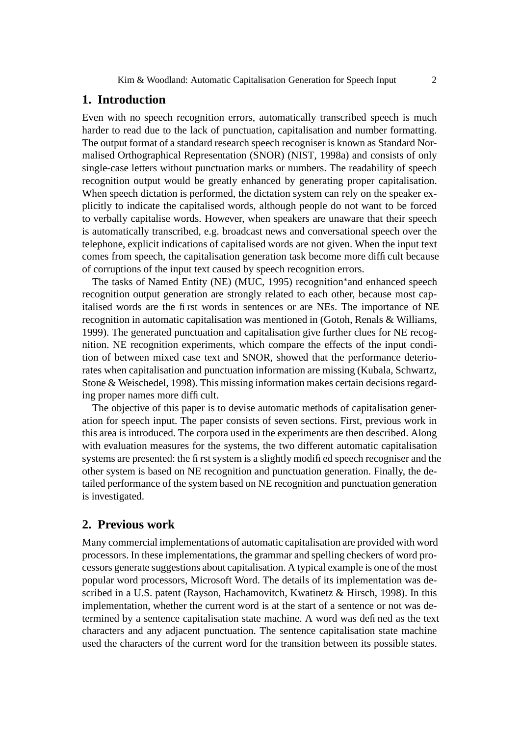# **1. Introduction**

Even with no speech recognition errors, automatically transcribed speech is much harder to read due to the lack of punctuation, capitalisation and number formatting. The output format of a standard research speech recogniser is known as Standard Normalised Orthographical Representation (SNOR) (NIST, 1998a) and consists of only single-case letters without punctuation marks or numbers. The readability of speech recognition output would be greatly enhanced by generating proper capitalisation. When speech dictation is performed, the dictation system can rely on the speaker explicitly to indicate the capitalised words, although people do not want to be forced to verbally capitalise words. However, when speakers are unaware that their speech is automatically transcribed, e.g. broadcast news and conversational speech over the telephone, explicit indications of capitalised words are not given. When the input text comes from speech, the capitalisation generation task become more difficult because of corruptions of the input text caused by speech recognition errors.

The tasks of Named Entity (NE) (MUC, 1995) recognition\* and enhanced speech recognition output generation are strongly related to each other, because most capitalised words are the first words in sentences or are NEs. The importance of NE recognition in automatic capitalisation was mentioned in (Gotoh, Renals & Williams, 1999). The generated punctuation and capitalisation give further clues for NE recognition. NE recognition experiments, which compare the effects of the input condition of between mixed case text and SNOR, showed that the performance deteriorates when capitalisation and punctuation information are missing (Kubala, Schwartz, Stone & Weischedel, 1998). This missing information makes certain decisions regarding proper names more difficult.

The objective of this paper is to devise automatic methods of capitalisation generation for speech input. The paper consists of seven sections. First, previous work in this area is introduced. The corpora used in the experiments are then described. Along with evaluation measures for the systems, the two different automatic capitalisation systems are presented: the first system is a slightly modified speech recogniser and the other system is based on NE recognition and punctuation generation. Finally, the detailed performance of the system based on NE recognition and punctuation generation is investigated.

# **2. Previous work**

Many commercial implementations of automatic capitalisation are provided with word processors. In these implementations, the grammar and spelling checkers of word processors generate suggestions about capitalisation. A typical example is one of the most popular word processors, Microsoft Word. The details of its implementation was described in a U.S. patent (Rayson, Hachamovitch, Kwatinetz & Hirsch, 1998). In this implementation, whether the current word is at the start of a sentence or not was determined by a sentence capitalisation state machine. A word was defined as the text characters and any adjacent punctuation. The sentence capitalisation state machine used the characters of the current word for the transition between its possible states.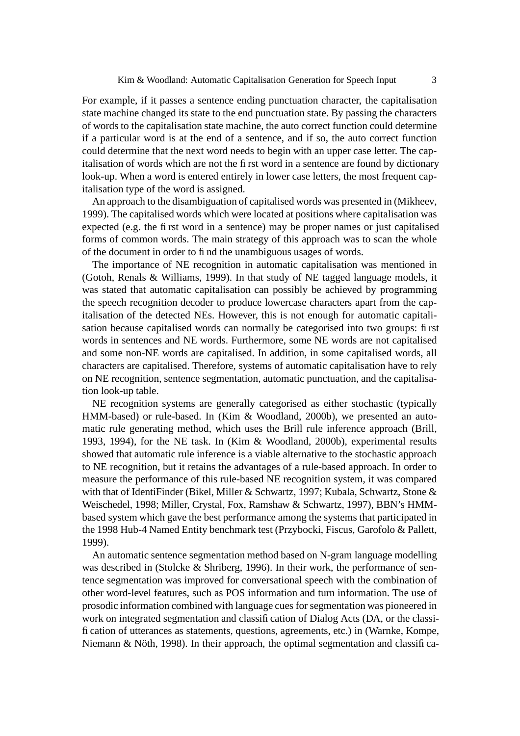For example, if it passes a sentence ending punctuation character, the capitalisation state machine changed its state to the end punctuation state. By passing the characters of words to the capitalisation state machine, the auto correct function could determine if a particular word is at the end of a sentence, and if so, the auto correct function could determine that the next word needs to begin with an upper case letter. The capitalisation of words which are not the first word in a sentence are found by dictionary look-up. When a word is entered entirely in lower case letters, the most frequent capitalisation type of the word is assigned.

An approach to the disambiguation of capitalised words was presented in (Mikheev, 1999). The capitalised words which were located at positions where capitalisation was expected (e.g. the first word in a sentence) may be proper names or just capitalised forms of common words. The main strategy of this approach was to scan the whole of the document in order to find the unambiguous usages of words.

The importance of NE recognition in automatic capitalisation was mentioned in (Gotoh, Renals & Williams, 1999). In that study of NE tagged language models, it was stated that automatic capitalisation can possibly be achieved by programming the speech recognition decoder to produce lowercase characters apart from the capitalisation of the detected NEs. However, this is not enough for automatic capitalisation because capitalised words can normally be categorised into two groups: first words in sentences and NE words. Furthermore, some NE words are not capitalised and some non-NE words are capitalised. In addition, in some capitalised words, all characters are capitalised. Therefore, systems of automatic capitalisation have to rely on NE recognition, sentence segmentation, automatic punctuation, and the capitalisation look-up table.

NE recognition systems are generally categorised as either stochastic (typically HMM-based) or rule-based. In (Kim & Woodland, 2000b), we presented an automatic rule generating method, which uses the Brill rule inference approach (Brill, 1993, 1994), for the NE task. In (Kim & Woodland, 2000b), experimental results showed that automatic rule inference is a viable alternative to the stochastic approach to NE recognition, but it retains the advantages of a rule-based approach. In order to measure the performance of this rule-based NE recognition system, it was compared with that of IdentiFinder (Bikel, Miller & Schwartz, 1997; Kubala, Schwartz, Stone & Weischedel, 1998; Miller, Crystal, Fox, Ramshaw & Schwartz, 1997), BBN's HMMbased system which gave the best performance among the systems that participated in the 1998 Hub-4 Named Entity benchmark test (Przybocki, Fiscus, Garofolo & Pallett, 1999).

An automatic sentence segmentation method based on N-gram language modelling was described in (Stolcke & Shriberg, 1996). In their work, the performance of sentence segmentation was improved for conversational speech with the combination of other word-level features, such as POS information and turn information. The use of prosodic information combined with language cues for segmentation was pioneered in work on integrated segmentation and classification of Dialog Acts (DA, or the classification of utterances as statements, questions, agreements, etc.) in (Warnke, Kompe, Niemann & Nöth, 1998). In their approach, the optimal segmentation and classifica-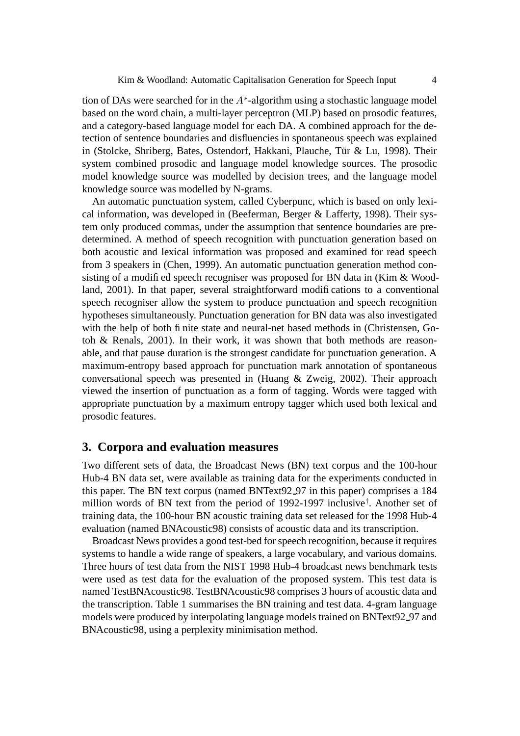tion of DAs were searched for in the  $A^*$ -algorithm using a stochastic language model based on the word chain, a multi-layer perceptron (MLP) based on prosodic features, and a category-based language model for each DA. A combined approach for the detection of sentence boundaries and disfluencies in spontaneous speech was explained in (Stolcke, Shriberg, Bates, Ostendorf, Hakkani, Plauche, Tür & Lu, 1998). Their system combined prosodic and language model knowledge sources. The prosodic model knowledge source was modelled by decision trees, and the language model knowledge source was modelled by N-grams.

An automatic punctuation system, called Cyberpunc, which is based on only lexical information, was developed in (Beeferman, Berger & Lafferty, 1998). Their system only produced commas, under the assumption that sentence boundaries are predetermined. A method of speech recognition with punctuation generation based on both acoustic and lexical information was proposed and examined for read speech from 3 speakers in (Chen, 1999). An automatic punctuation generation method consisting of a modified speech recogniser was proposed for BN data in (Kim & Woodland, 2001). In that paper, several straightforward modifications to a conventional speech recogniser allow the system to produce punctuation and speech recognition hypotheses simultaneously. Punctuation generation for BN data was also investigated with the help of both finite state and neural-net based methods in (Christensen, Gotoh & Renals, 2001). In their work, it was shown that both methods are reasonable, and that pause duration is the strongest candidate for punctuation generation. A maximum-entropy based approach for punctuation mark annotation of spontaneous conversational speech was presented in (Huang & Zweig, 2002). Their approach viewed the insertion of punctuation as a form of tagging. Words were tagged with appropriate punctuation by a maximum entropy tagger which used both lexical and prosodic features.

# **3. Corpora and evaluation measures**

Two different sets of data, the Broadcast News (BN) text corpus and the 100-hour Hub-4 BN data set, were available as training data for the experiments conducted in this paper. The BN text corpus (named BNText92 97 in this paper) comprises a 184 million words of BN text from the period of 1992-1997 inclusive<sup>†</sup>. Another set of training data, the 100-hour BN acoustic training data set released for the 1998 Hub-4 evaluation (named BNAcoustic98) consists of acoustic data and its transcription.

Broadcast News provides a good test-bed for speech recognition, because it requires systems to handle a wide range of speakers, a large vocabulary, and various domains. Three hours of test data from the NIST 1998 Hub-4 broadcast news benchmark tests were used as test data for the evaluation of the proposed system. This test data is named TestBNAcoustic98. TestBNAcoustic98 comprises 3 hours of acoustic data and the transcription. Table 1 summarises the BN training and test data. 4-gram language models were produced by interpolating language models trained on BNText92 97 and BNAcoustic98, using a perplexity minimisation method.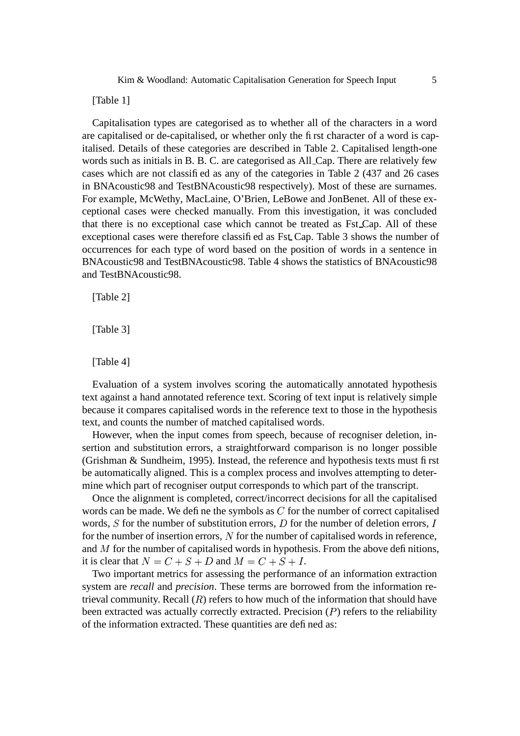[Table 1]

Capitalisation types are categorised as to whether all of the characters in a word are capitalised or de-capitalised, or whether only the first character of a word is capitalised. Details of these categories are described in Table 2. Capitalised length-one words such as initials in B. B. C. are categorised as All Cap. There are relatively few cases which are not classified as any of the categories in Table 2 (437 and 26 cases in BNAcoustic98 and TestBNAcoustic98 respectively). Most of these are surnames. For example, McWethy, MacLaine, O'Brien, LeBowe and JonBenet. All of these exceptional cases were checked manually. From this investigation, it was concluded that there is no exceptional case which cannot be treated as Fst Cap. All of these exceptional cases were therefore classified as Fst Cap. Table 3 shows the number of occurrences for each type of word based on the position of words in a sentence in BNAcoustic98 and TestBNAcoustic98. Table 4 shows the statistics of BNAcoustic98 and TestBNAcoustic98.

[Table 2]

[Table 3]

[Table 4]

Evaluation of a system involves scoring the automatically annotated hypothesis text against a hand annotated reference text. Scoring of text input is relatively simple because it compares capitalised words in the reference text to those in the hypothesis text, and counts the number of matched capitalised words.

However, when the input comes from speech, because of recogniser deletion, insertion and substitution errors, a straightforward comparison is no longer possible (Grishman & Sundheim, 1995). Instead, the reference and hypothesis texts must first be automatically aligned. This is a complex process and involves attempting to determine which part of recogniser output corresponds to which part of the transcript.

Once the alignment is completed, correct/incorrect decisions for all the capitalised words can be made. We define the symbols as  $C$  for the number of correct capitalised words,  $S$  for the number of substitution errors,  $D$  for the number of deletion errors,  $I$ for the number of insertion errors,  $N$  for the number of capitalised words in reference, and  $M$  for the number of capitalised words in hypothesis. From the above definitions, it is clear that  $N = C + S + D$  and  $M = C + S + I$ .

Two important metrics for assessing the performance of an information extraction system are *recall* and *precision*. These terms are borrowed from the information retrieval community. Recall  $(R)$  refers to how much of the information that should have been extracted was actually correctly extracted. Precision  $(P)$  refers to the reliability of the information extracted. These quantities are defined as: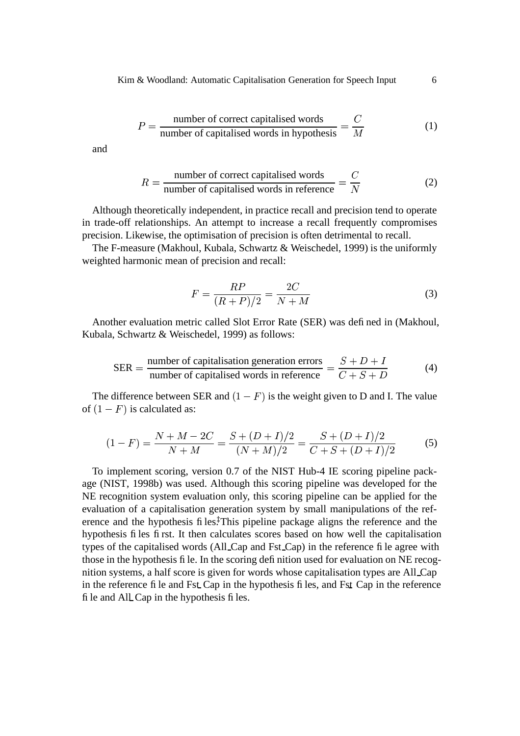$$
P = \frac{\text{number of correct capitalised words}}{\text{number of capitalised words in hypothesis}} = \frac{C}{M}
$$
 (1)

and

$$
R = \frac{\text{number of correct capitalised words}}{\text{number of capitalised words in reference}} = \frac{C}{N}
$$
 (2)

Although theoretically independent, in practice recall and precision tend to operate in trade-off relationships. An attempt to increase a recall frequently compromises precision. Likewise, the optimisation of precision is often detrimental to recall.

The F-measure (Makhoul, Kubala, Schwartz & Weischedel, 1999) is the uniformly weighted harmonic mean of precision and recall:

$$
F = \frac{RP}{(R+P)/2} = \frac{2C}{N+M}
$$
\n<sup>(3)</sup>

Another evaluation metric called Slot Error Rate (SER) was defined in (Makhoul, Kubala, Schwartz & Weischedel, 1999) as follows:

$$
SER = \frac{\text{number of capitalisation generation errors}}{\text{number of capitalised words in reference}} = \frac{S + D + I}{C + S + D}
$$
(4)

The difference between SER and  $(1 - F)$  is the weight given to D and I. The value of  $(1 - F)$  is calculated as:

$$
(1 - F) = \frac{N + M - 2C}{N + M} = \frac{S + (D + I)/2}{(N + M)/2} = \frac{S + (D + I)/2}{C + S + (D + I)/2}
$$
(5)

To implement scoring, version 0.7 of the NIST Hub-4 IE scoring pipeline package (NIST, 1998b) was used. Although this scoring pipeline was developed for the NE recognition system evaluation only, this scoring pipeline can be applied for the evaluation of a capitalisation generation system by small manipulations of the reference and the hypothesis files.<sup> $\ddagger$ </sup>This pipeline package aligns the reference and the hypothesis files first. It then calculates scores based on how well the capitalisation types of the capitalised words (All Cap and Fst Cap) in the reference file agree with those in the hypothesis file. In the scoring definition used for evaluation on NE recognition systems, a half score is given for words whose capitalisation types are All Cap in the reference file and Fst Cap in the hypothesis files, and Fst Cap in the reference file and All Cap in the hypothesis files.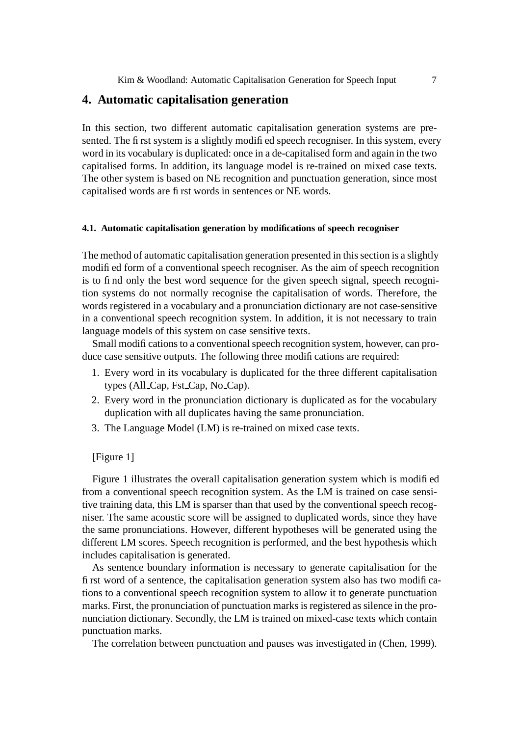# **4. Automatic capitalisation generation**

In this section, two different automatic capitalisation generation systems are presented. The first system is a slightly modified speech recogniser. In this system, every word in its vocabulary is duplicated: once in a de-capitalised form and again in the two capitalised forms. In addition, its language model is re-trained on mixed case texts. The other system is based on NE recognition and punctuation generation, since most capitalised words are first words in sentences or NE words.

#### **4.1. Automatic capitalisation generation by modifications of speech recogniser**

The method of automatic capitalisation generation presented in this section is a slightly modified form of a conventional speech recogniser. As the aim of speech recognition is to find only the best word sequence for the given speech signal, speech recognition systems do not normally recognise the capitalisation of words. Therefore, the words registered in a vocabulary and a pronunciation dictionary are not case-sensitive in a conventional speech recognition system. In addition, it is not necessary to train language models of this system on case sensitive texts.

Small modifications to a conventional speech recognition system, however, can produce case sensitive outputs. The following three modifications are required:

- 1. Every word in its vocabulary is duplicated for the three different capitalisation types (All Cap, Fst Cap, No Cap).
- 2. Every word in the pronunciation dictionary is duplicated as for the vocabulary duplication with all duplicates having the same pronunciation.
- 3. The Language Model (LM) is re-trained on mixed case texts.

[Figure 1]

Figure 1 illustrates the overall capitalisation generation system which is modified from a conventional speech recognition system. As the LM is trained on case sensitive training data, this LM is sparser than that used by the conventional speech recogniser. The same acoustic score will be assigned to duplicated words, since they have the same pronunciations. However, different hypotheses will be generated using the different LM scores. Speech recognition is performed, and the best hypothesis which includes capitalisation is generated.

As sentence boundary information is necessary to generate capitalisation for the first word of a sentence, the capitalisation generation system also has two modifications to a conventional speech recognition system to allow it to generate punctuation marks. First, the pronunciation of punctuation marksisregistered as silence in the pronunciation dictionary. Secondly, the LM is trained on mixed-case texts which contain punctuation marks.

The correlation between punctuation and pauses was investigated in (Chen, 1999).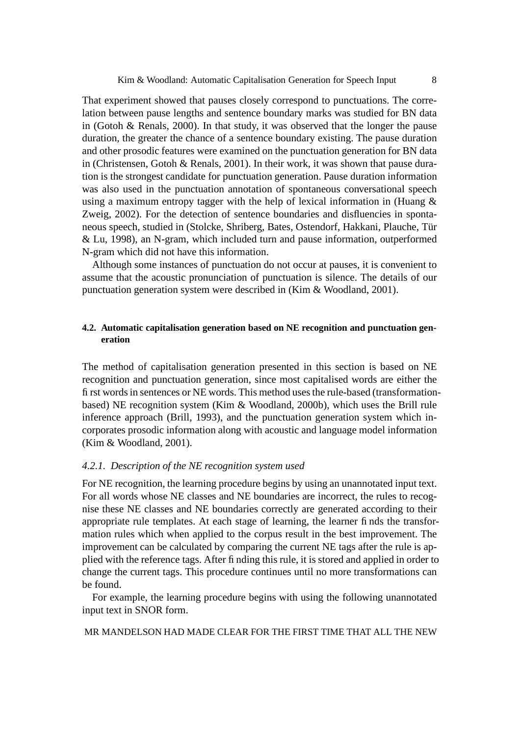That experiment showed that pauses closely correspond to punctuations. The correlation between pause lengths and sentence boundary marks was studied for BN data in (Gotoh & Renals, 2000). In that study, it was observed that the longer the pause duration, the greater the chance of a sentence boundary existing. The pause duration and other prosodic features were examined on the punctuation generation for BN data in (Christensen, Gotoh & Renals, 2001). In their work, it was shown that pause duration is the strongest candidate for punctuation generation. Pause duration information was also used in the punctuation annotation of spontaneous conversational speech using a maximum entropy tagger with the help of lexical information in (Huang & Zweig, 2002). For the detection of sentence boundaries and disfluencies in spontaneous speech, studied in (Stolcke, Shriberg, Bates, Ostendorf, Hakkani, Plauche, Tür & Lu, 1998), an N-gram, which included turn and pause information, outperformed N-gram which did not have this information.

Although some instances of punctuation do not occur at pauses, it is convenient to assume that the acoustic pronunciation of punctuation is silence. The details of our punctuation generation system were described in (Kim & Woodland, 2001).

### **4.2. Automatic capitalisation generation based on NE recognition and punctuation generation**

The method of capitalisation generation presented in this section is based on NE recognition and punctuation generation, since most capitalised words are either the first wordsin sentences or NE words. This method usesthe rule-based (transformationbased) NE recognition system (Kim & Woodland, 2000b), which uses the Brill rule inference approach (Brill, 1993), and the punctuation generation system which incorporates prosodic information along with acoustic and language model information (Kim & Woodland, 2001).

#### *4.2.1. Description of the NE recognition system used*

For NE recognition, the learning procedure begins by using an unannotated input text. For all words whose NE classes and NE boundaries are incorrect, the rules to recognise these NE classes and NE boundaries correctly are generated according to their appropriate rule templates. At each stage of learning, the learner finds the transformation rules which when applied to the corpus result in the best improvement. The improvement can be calculated by comparing the current NE tags after the rule is applied with the reference tags. After finding this rule, it is stored and applied in order to change the current tags. This procedure continues until no more transformations can be found.

For example, the learning procedure begins with using the following unannotated input text in SNOR form.

### MR MANDELSON HAD MADE CLEAR FOR THE FIRST TIME THAT ALL THE NEW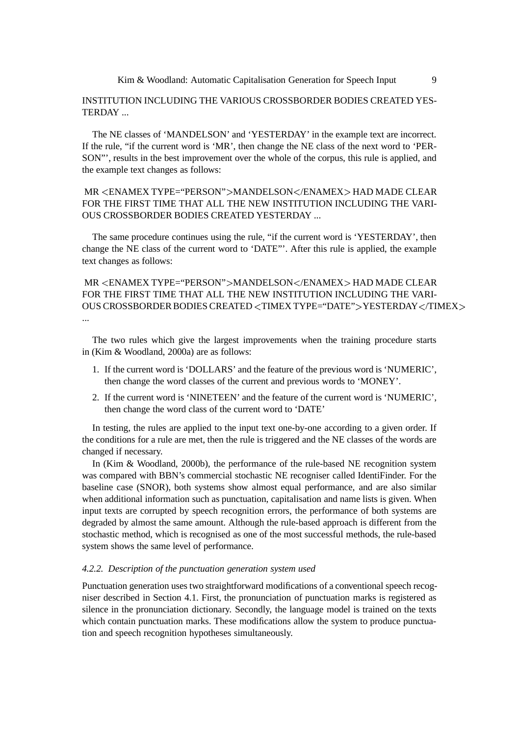## INSTITUTION INCLUDING THE VARIOUS CROSSBORDER BODIES CREATED YES-TERDAY ...

The NE classes of 'MANDELSON' and 'YESTERDAY' in the example text are incorrect. If the rule, "if the current word is 'MR', then change the NE class of the next word to 'PER-SON"', results in the best improvement over the whole of the corpus, this rule is applied, and the example text changes as follows:

## MR < ENAMEX TYPE="PERSON">MANDELSON</ENAMEX>HAD MADE CLEAR FOR THE FIRST TIME THAT ALL THE NEW INSTITUTION INCLUDING THE VARI-OUS CROSSBORDER BODIES CREATED YESTERDAY ...

The same procedure continues using the rule, "if the current word is 'YESTERDAY', then change the NE class of the current word to 'DATE"'. After this rule is applied, the example text changes as follows:

# MR < ENAMEX TYPE="PERSON">MANDELSON</ENAMEX>HAD MADE CLEAR FOR THE FIRST TIME THAT ALL THE NEW INSTITUTION INCLUDING THE VARI-OUS CROSSBORDER BODIES CREATED < TIMEX TYPE="DATE">YESTERDAY</TIMEX> ...

The two rules which give the largest improvements when the training procedure starts in (Kim & Woodland, 2000a) are as follows:

- 1. If the current word is 'DOLLARS' and the feature of the previous word is 'NUMERIC', then change the word classes of the current and previous words to 'MONEY'.
- 2. If the current word is 'NINETEEN' and the feature of the current word is 'NUMERIC', then change the word class of the current word to 'DATE'

In testing, the rules are applied to the input text one-by-one according to a given order. If the conditions for a rule are met, then the rule is triggered and the NE classes of the words are changed if necessary.

In (Kim & Woodland, 2000b), the performance of the rule-based NE recognition system was compared with BBN's commercial stochastic NE recogniser called IdentiFinder. For the baseline case (SNOR), both systems show almost equal performance, and are also similar when additional information such as punctuation, capitalisation and name lists is given. When input texts are corrupted by speech recognition errors, the performance of both systems are degraded by almost the same amount. Although the rule-based approach is different from the stochastic method, which is recognised as one of the most successful methods, the rule-based system shows the same level of performance.

#### *4.2.2. Description of the punctuation generation system used*

Punctuation generation uses two straightforward modifications of a conventional speech recogniser described in Section 4.1. First, the pronunciation of punctuation marks is registered as silence in the pronunciation dictionary. Secondly, the language model is trained on the texts which contain punctuation marks. These modifications allow the system to produce punctuation and speech recognition hypotheses simultaneously.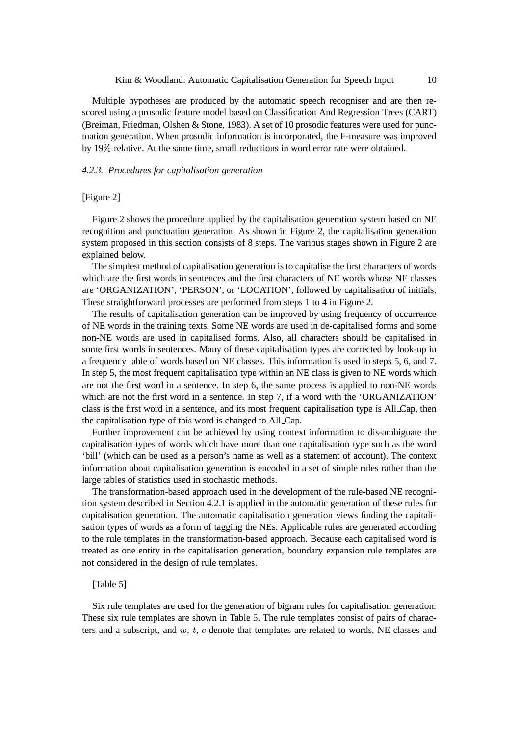Multiple hypotheses are produced by the automatic speech recogniser and are then rescored using a prosodic feature model based on Classification And Regression Trees (CART) (Breiman, Friedman, Olshen & Stone, 1983). A set of 10 prosodic features were used for punctuation generation. When prosodic information is incorporated, the F-measure was improved by 19% relative. At the same time, small reductions in word error rate were obtained.

#### *4.2.3. Procedures for capitalisation generation*

#### [Figure 2]

Figure 2 shows the procedure applied by the capitalisation generation system based on NE recognition and punctuation generation. As shown in Figure 2, the capitalisation generation system proposed in this section consists of 8 steps. The various stages shown in Figure 2 are explained below.

The simplest method of capitalisation generation is to capitalise the first characters of words which are the first words in sentences and the first characters of NE words whose NE classes are 'ORGANIZATION', 'PERSON', or 'LOCATION', followed by capitalisation of initials. These straightforward processes are performed from steps 1 to 4 in Figure 2.

The results of capitalisation generation can be improved by using frequency of occurrence of NE words in the training texts. Some NE words are used in de-capitalised forms and some non-NE words are used in capitalised forms. Also, all characters should be capitalised in some first words in sentences. Many of these capitalisation types are corrected by look-up in a frequency table of words based on NE classes. This information is used in steps 5, 6, and 7. In step 5, the most frequent capitalisation type within an NE class is given to NE words which are not the first word in a sentence. In step 6, the same process is applied to non-NE words which are not the first word in a sentence. In step 7, if a word with the 'ORGANIZATION' class is the first word in a sentence, and its most frequent capitalisation type is All Cap, then the capitalisation type of this word is changed to All Cap.

Further improvement can be achieved by using context information to dis-ambiguate the capitalisation types of words which have more than one capitalisation type such as the word 'bill' (which can be used as a person's name as well as a statement of account). The context information about capitalisation generation is encoded in a set of simple rules rather than the large tables of statistics used in stochastic methods.

The transformation-based approach used in the development of the rule-based NE recognition system described in Section 4.2.1 is applied in the automatic generation of these rules for capitalisation generation. The automatic capitalisation generation views finding the capitalisation types of words as a form of tagging the NEs. Applicable rules are generated according to the rule templates in the transformation-based approach. Because each capitalised word is treated as one entity in the capitalisation generation, boundary expansion rule templates are not considered in the design of rule templates.

#### [Table 5]

Six rule templates are used for the generation of bigram rules for capitalisation generation. These six rule templates are shown in Table 5. The rule templates consist of pairs of characters and a subscript, and  $w$ ,  $t$ ,  $c$  denote that templates are related to words, NE classes and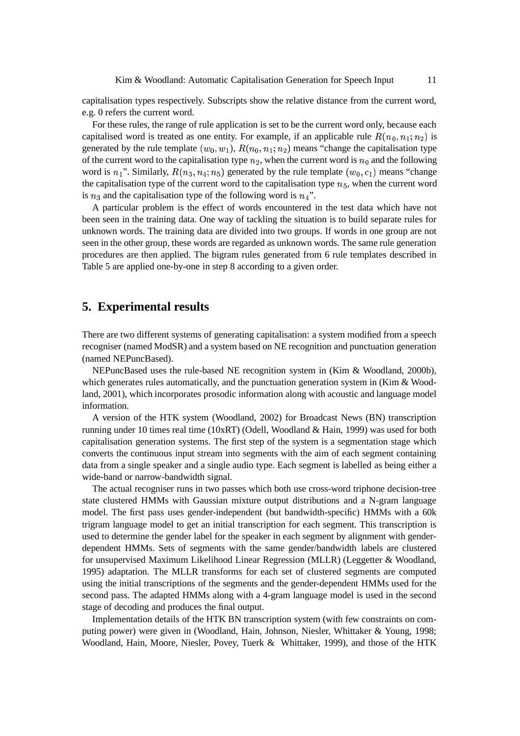capitalisation types respectively. Subscripts show the relative distance from the current word, e.g. 0 refers the current word.

For these rules, the range of rule application is set to be the current word only, because each capitalised word is treated as one entity. For example, if an applicable rule  $R(n_0, n_1; n_2)$  is generated by the rule template  $(w_0, w_1)$ ,  $R(n_0, n_1; n_2)$  means "change the capitalisation type of the current word to the capitalisation type  $n_2$ , when the current word is  $n_0$  and the following word is  $n_1$ ". Similarly,  $R(n_3, n_4; n_5)$  generated by the rule template  $(w_0, c_1)$  means "change" the capitalisation type of the current word to the capitalisation type  $n_5$ , when the current word is  $n_3$  and the capitalisation type of the following word is  $n_4$ ".

A particular problem is the effect of words encountered in the test data which have not been seen in the training data. One way of tackling the situation is to build separate rules for unknown words. The training data are divided into two groups. If words in one group are not seen in the other group, these words are regarded as unknown words. The same rule generation procedures are then applied. The bigram rules generated from 6 rule templates described in Table 5 are applied one-by-one in step 8 according to a given order.

# **5. Experimental results**

There are two different systems of generating capitalisation: a system modified from a speech recogniser (named ModSR) and a system based on NE recognition and punctuation generation (named NEPuncBased).

NEPuncBased uses the rule-based NE recognition system in (Kim & Woodland, 2000b), which generates rules automatically, and the punctuation generation system in (Kim & Woodland, 2001), which incorporates prosodic information along with acoustic and language model information.

A version of the HTK system (Woodland, 2002) for Broadcast News (BN) transcription running under 10 times real time  $(10xRT)$  (Odell, Woodland & Hain, 1999) was used for both capitalisation generation systems. The first step of the system is a segmentation stage which converts the continuous input stream into segments with the aim of each segment containing data from a single speaker and a single audio type. Each segment is labelled as being either a wide-band or narrow-bandwidth signal.

The actual recogniser runs in two passes which both use cross-word triphone decision-tree state clustered HMMs with Gaussian mixture output distributions and a N-gram language model. The first pass uses gender-independent (but bandwidth-specific) HMMs with a 60k trigram language model to get an initial transcription for each segment. This transcription is used to determine the gender label for the speaker in each segment by alignment with genderdependent HMMs. Sets of segments with the same gender/bandwidth labels are clustered for unsupervised Maximum Likelihood Linear Regression (MLLR) (Leggetter & Woodland, 1995) adaptation. The MLLR transforms for each set of clustered segments are computed using the initial transcriptions of the segments and the gender-dependent HMMs used for the second pass. The adapted HMMs along with a 4-gram language model is used in the second stage of decoding and produces the final output.

Implementation details of the HTK BN transcription system (with few constraints on computing power) were given in (Woodland, Hain, Johnson, Niesler, Whittaker & Young, 1998; Woodland, Hain, Moore, Niesler, Povey, Tuerk & Whittaker, 1999), and those of the HTK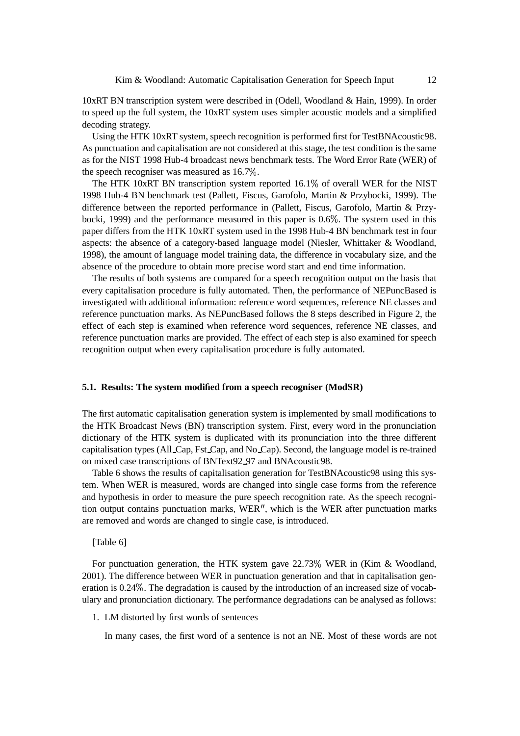10xRT BN transcription system were described in (Odell, Woodland & Hain, 1999). In order to speed up the full system, the 10xRT system uses simpler acoustic models and a simplified decoding strategy.

Using the HTK 10xRT system, speech recognition is performed first for TestBNAcoustic98. As punctuation and capitalisation are not considered at this stage, the test condition is the same as for the NIST 1998 Hub-4 broadcast news benchmark tests. The Word Error Rate (WER) of the speech recogniser was measured as 16.7 .

The HTK 10xRT BN transcription system reported 16.1% of overall WER for the NIST 1998 Hub-4 BN benchmark test (Pallett, Fiscus, Garofolo, Martin & Przybocki, 1999). The difference between the reported performance in (Pallett, Fiscus, Garofolo, Martin & Przybocki, 1999) and the performance measured in this paper is 0.6 . The system used in this paper differs from the HTK 10xRT system used in the 1998 Hub-4 BN benchmark test in four aspects: the absence of a category-based language model (Niesler, Whittaker & Woodland, 1998), the amount of language model training data, the difference in vocabulary size, and the absence of the procedure to obtain more precise word start and end time information.

The results of both systems are compared for a speech recognition output on the basis that every capitalisation procedure is fully automated. Then, the performance of NEPuncBased is investigated with additional information: reference word sequences, reference NE classes and reference punctuation marks. As NEPuncBased follows the 8 steps described in Figure 2, the effect of each step is examined when reference word sequences, reference NE classes, and reference punctuation marks are provided. The effect of each step is also examined for speech recognition output when every capitalisation procedure is fully automated.

#### **5.1. Results: The system modified from a speech recogniser (ModSR)**

The first automatic capitalisation generation system is implemented by small modifications to the HTK Broadcast News (BN) transcription system. First, every word in the pronunciation dictionary of the HTK system is duplicated with its pronunciation into the three different capitalisation types (All Cap, Fst Cap, and No Cap). Second, the language model is re-trained on mixed case transcriptions of BNText92 97 and BNAcoustic98.

Table 6 shows the results of capitalisation generation for TestBNAcoustic98 using this system. When WER is measured, words are changed into single case forms from the reference and hypothesis in order to measure the pure speech recognition rate. As the speech recognition output contains punctuation marks,  $WER''$ , which is the WER after punctuation marks are removed and words are changed to single case, is introduced.

#### [Table 6]

For punctuation generation, the HTK system gave 22.73 WER in (Kim & Woodland, 2001). The difference between WER in punctuation generation and that in capitalisation generation is 0.24 . The degradation is caused by the introduction of an increased size of vocabulary and pronunciation dictionary. The performance degradations can be analysed as follows:

1. LM distorted by first words of sentences

In many cases, the first word of a sentence is not an NE. Most of these words are not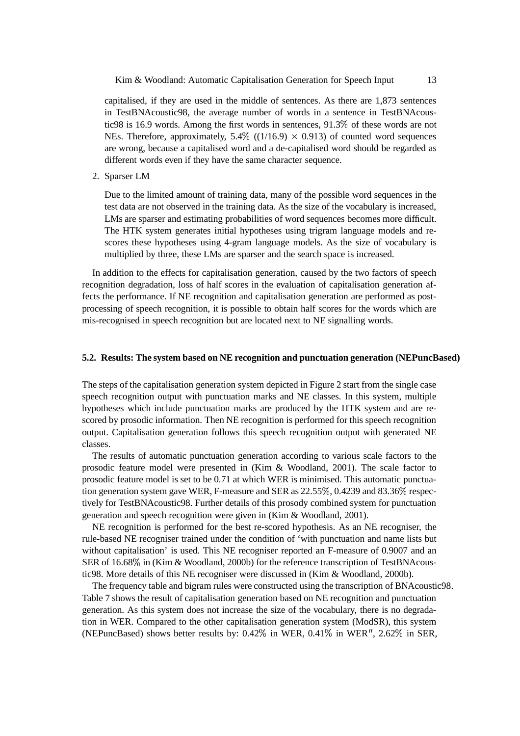capitalised, if they are used in the middle of sentences. As there are 1,873 sentences in TestBNAcoustic98, the average number of words in a sentence in TestBNAcoustic98 is 16.9 words. Among the first words in sentences, 91.3 of these words are not NEs. Therefore, approximately,  $5.4\%$  ((1/16.9)  $\times$  0.913) of counted word sequences are wrong, because a capitalised word and a de-capitalised word should be regarded as different words even if they have the same character sequence.

2. Sparser LM

Due to the limited amount of training data, many of the possible word sequences in the test data are not observed in the training data. As the size of the vocabulary is increased, LMs are sparser and estimating probabilities of word sequences becomes more difficult. The HTK system generates initial hypotheses using trigram language models and rescores these hypotheses using 4-gram language models. As the size of vocabulary is multiplied by three, these LMs are sparser and the search space is increased.

In addition to the effects for capitalisation generation, caused by the two factors of speech recognition degradation, loss of half scores in the evaluation of capitalisation generation affects the performance. If NE recognition and capitalisation generation are performed as postprocessing of speech recognition, it is possible to obtain half scores for the words which are mis-recognised in speech recognition but are located next to NE signalling words.

#### **5.2. Results: The system based on NE recognition and punctuation generation (NEPuncBased)**

The steps of the capitalisation generation system depicted in Figure 2 start from the single case speech recognition output with punctuation marks and NE classes. In this system, multiple hypotheses which include punctuation marks are produced by the HTK system and are rescored by prosodic information. Then NE recognition is performed for this speech recognition output. Capitalisation generation follows this speech recognition output with generated NE classes.

The results of automatic punctuation generation according to various scale factors to the prosodic feature model were presented in (Kim & Woodland, 2001). The scale factor to prosodic feature model is set to be 0.71 at which WER is minimised. This automatic punctuation generation system gave WER, F-measure and SER as 22.55%, 0.4239 and 83.36% respectively for TestBNAcoustic98. Further details of this prosody combined system for punctuation generation and speech recognition were given in (Kim & Woodland, 2001).

NE recognition is performed for the best re-scored hypothesis. As an NE recogniser, the rule-based NE recogniser trained under the condition of 'with punctuation and name lists but without capitalisation' is used. This NE recogniser reported an F-measure of 0.9007 and an SER of 16.68% in (Kim & Woodland, 2000b) for the reference transcription of TestBNAcoustic98. More details of this NE recogniser were discussed in (Kim & Woodland, 2000b).

The frequency table and bigram rules were constructed using the transcription of BNAcoustic98. Table 7 shows the result of capitalisation generation based on NE recognition and punctuation generation. As this system does not increase the size of the vocabulary, there is no degradation in WER. Compared to the other capitalisation generation system (ModSR), this system (NEPuncBased) shows better results by:  $0.42\%$  in WER,  $0.41\%$  in WER",  $2.62\%$  in SER,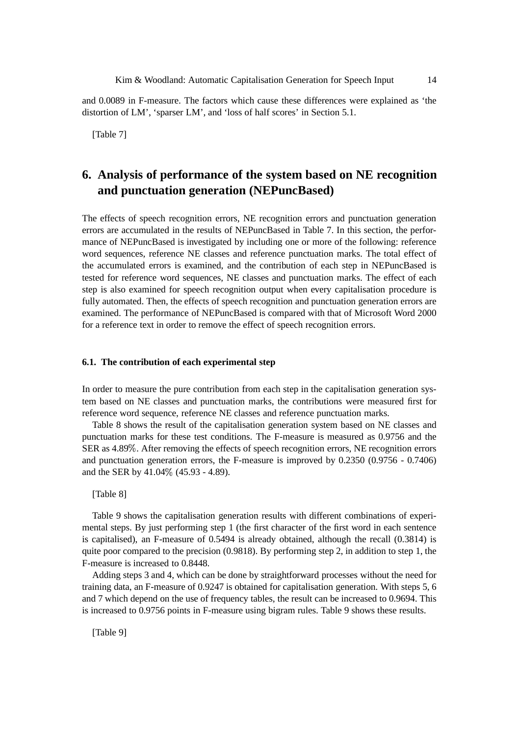and 0.0089 in F-measure. The factors which cause these differences were explained as 'the distortion of LM', 'sparser LM', and 'loss of half scores' in Section 5.1.

[Table 7]

# **6. Analysis of performance of the system based on NE recognition and punctuation generation (NEPuncBased)**

The effects of speech recognition errors, NE recognition errors and punctuation generation errors are accumulated in the results of NEPuncBased in Table 7. In this section, the performance of NEPuncBased is investigated by including one or more of the following: reference word sequences, reference NE classes and reference punctuation marks. The total effect of the accumulated errors is examined, and the contribution of each step in NEPuncBased is tested for reference word sequences, NE classes and punctuation marks. The effect of each step is also examined for speech recognition output when every capitalisation procedure is fully automated. Then, the effects of speech recognition and punctuation generation errors are examined. The performance of NEPuncBased is compared with that of Microsoft Word 2000 for a reference text in order to remove the effect of speech recognition errors.

#### **6.1. The contribution of each experimental step**

In order to measure the pure contribution from each step in the capitalisation generation system based on NE classes and punctuation marks, the contributions were measured first for reference word sequence, reference NE classes and reference punctuation marks.

Table 8 shows the result of the capitalisation generation system based on NE classes and punctuation marks for these test conditions. The F-measure is measured as 0.9756 and the SER as 4.89 . After removing the effects of speech recognition errors, NE recognition errors and punctuation generation errors, the F-measure is improved by 0.2350 (0.9756 - 0.7406) and the SER by 41.04 (45.93 - 4.89).

[Table 8]

Table 9 shows the capitalisation generation results with different combinations of experimental steps. By just performing step 1 (the first character of the first word in each sentence is capitalised), an F-measure of 0.5494 is already obtained, although the recall (0.3814) is quite poor compared to the precision  $(0.9818)$ . By performing step 2, in addition to step 1, the F-measure is increased to 0.8448.

Adding steps 3 and 4, which can be done by straightforward processes without the need for training data, an F-measure of 0.9247 is obtained for capitalisation generation. With steps 5, 6 and 7 which depend on the use of frequency tables, the result can be increased to 0.9694. This is increased to 0.9756 points in F-measure using bigram rules. Table 9 shows these results.

[Table 9]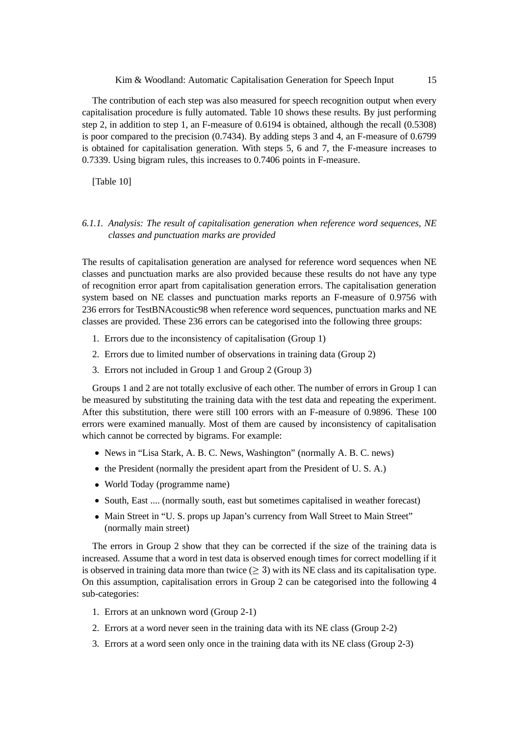The contribution of each step was also measured for speech recognition output when every capitalisation procedure is fully automated. Table 10 shows these results. By just performing step 2, in addition to step 1, an F-measure of 0.6194 is obtained, although the recall (0.5308) is poor compared to the precision (0.7434). By adding steps 3 and 4, an F-measure of 0.6799 is obtained for capitalisation generation. With steps 5, 6 and 7, the F-measure increases to 0.7339. Using bigram rules, this increases to 0.7406 points in F-measure.

[Table 10]

### *6.1.1. Analysis: The result of capitalisation generation when reference word sequences, NE classes and punctuation marks are provided*

The results of capitalisation generation are analysed for reference word sequences when NE classes and punctuation marks are also provided because these results do not have any type of recognition error apart from capitalisation generation errors. The capitalisation generation system based on NE classes and punctuation marks reports an F-measure of 0.9756 with 236 errors for TestBNAcoustic98 when reference word sequences, punctuation marks and NE classes are provided. These 236 errors can be categorised into the following three groups:

- 1. Errors due to the inconsistency of capitalisation (Group 1)
- 2. Errors due to limited number of observations in training data (Group 2)
- 3. Errors not included in Group 1 and Group 2 (Group 3)

Groups 1 and 2 are not totally exclusive of each other. The number of errors in Group 1 can be measured by substituting the training data with the test data and repeating the experiment. After this substitution, there were still 100 errors with an F-measure of 0.9896. These 100 errors were examined manually. Most of them are caused by inconsistency of capitalisation which cannot be corrected by bigrams. For example:

- News in "Lisa Stark, A. B. C. News, Washington" (normally A. B. C. news)
- the President (normally the president apart from the President of U.S.A.)
- World Today (programme name)
- South, East .... (normally south, east but sometimes capitalised in weather forecast)
- Main Street in "U. S. props up Japan's currency from Wall Street to Main Street" (normally main street)

The errors in Group 2 show that they can be corrected if the size of the training data is increased. Assume that a word in test data is observed enough times for correct modelling if it is observed in training data more than twice  $(\geq 3)$  with its NE class and its capitalisation type. On this assumption, capitalisation errors in Group 2 can be categorised into the following 4 sub-categories:

- 1. Errors at an unknown word (Group 2-1)
- 2. Errors at a word never seen in the training data with its NE class (Group 2-2)
- 3. Errors at a word seen only once in the training data with its NE class (Group 2-3)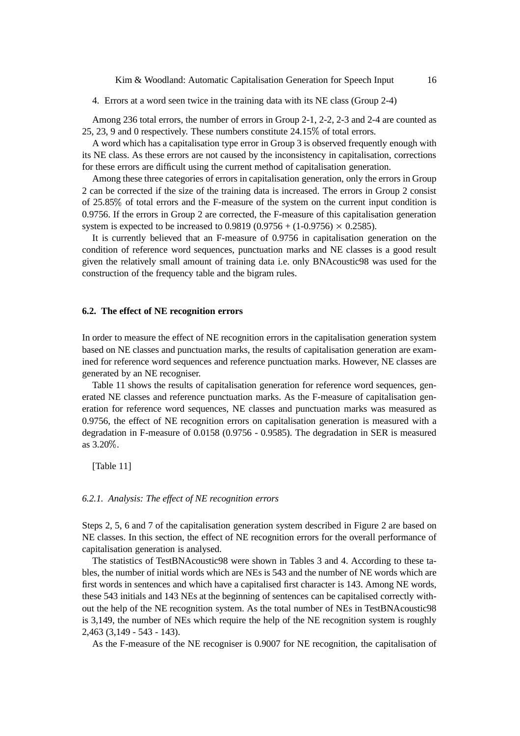4. Errors at a word seen twice in the training data with its NE class (Group 2-4)

Among 236 total errors, the number of errors in Group 2-1, 2-2, 2-3 and 2-4 are counted as 25, 23, 9 and 0 respectively. These numbers constitute 24.15 of total errors.

A word which has a capitalisation type error in Group 3 is observed frequently enough with its NE class. As these errors are not caused by the inconsistency in capitalisation, corrections for these errors are difficult using the current method of capitalisation generation.

Among these three categories of errors in capitalisation generation, only the errors in Group 2 can be corrected if the size of the training data is increased. The errors in Group 2 consist of 25.85 of total errors and the F-measure of the system on the current input condition is 0.9756. If the errors in Group 2 are corrected, the F-measure of this capitalisation generation system is expected to be increased to  $0.9819 (0.9756 + (1-0.9756) \times 0.2585)$ .

It is currently believed that an F-measure of 0.9756 in capitalisation generation on the condition of reference word sequences, punctuation marks and NE classes is a good result given the relatively small amount of training data i.e. only BNAcoustic98 was used for the construction of the frequency table and the bigram rules.

#### **6.2. The effect of NE recognition errors**

In order to measure the effect of NE recognition errors in the capitalisation generation system based on NE classes and punctuation marks, the results of capitalisation generation are examined for reference word sequences and reference punctuation marks. However, NE classes are generated by an NE recogniser.

Table 11 shows the results of capitalisation generation for reference word sequences, generated NE classes and reference punctuation marks. As the F-measure of capitalisation generation for reference word sequences, NE classes and punctuation marks was measured as 0.9756, the effect of NE recognition errors on capitalisation generation is measured with a degradation in F-measure of 0.0158 (0.9756 - 0.9585). The degradation in SER is measured as 3.20 .

[Table 11]

#### *6.2.1. Analysis: The effect of NE recognition errors*

Steps 2, 5, 6 and 7 of the capitalisation generation system described in Figure 2 are based on NE classes. In this section, the effect of NE recognition errors for the overall performance of capitalisation generation is analysed.

The statistics of TestBNAcoustic98 were shown in Tables 3 and 4. According to these tables, the number of initial words which are NEs is 543 and the number of NE words which are first words in sentences and which have a capitalised first character is 143. Among NE words, these 543 initials and 143 NEs at the beginning of sentences can be capitalised correctly without the help of the NE recognition system. As the total number of NEs in TestBNAcoustic98 is 3,149, the number of NEs which require the help of the NE recognition system is roughly 2,463 (3,149 - 543 - 143).

As the F-measure of the NE recogniser is 0.9007 for NE recognition, the capitalisation of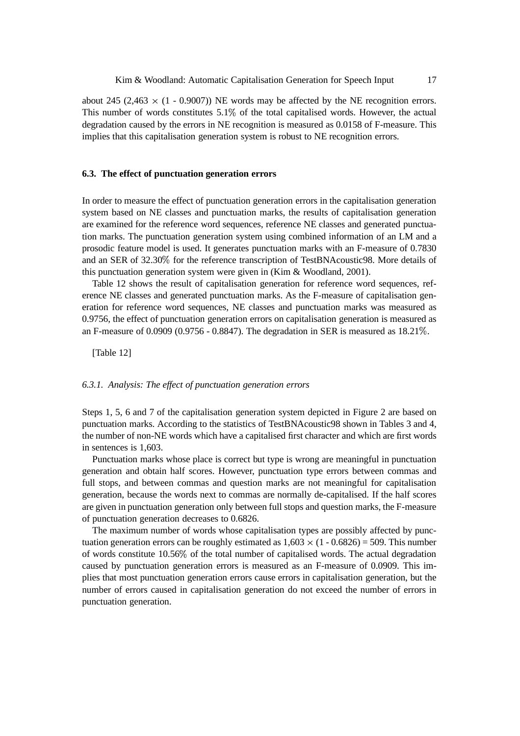about 245 (2,463  $\times$  (1 - 0.9007)) NE words may be affected by the NE recognition errors. This number of words constitutes  $5.1\%$  of the total capitalised words. However, the actual degradation caused by the errors in NE recognition is measured as 0.0158 of F-measure. This implies that this capitalisation generation system is robust to NE recognition errors.

#### **6.3. The effect of punctuation generation errors**

In order to measure the effect of punctuation generation errors in the capitalisation generation system based on NE classes and punctuation marks, the results of capitalisation generation are examined for the reference word sequences, reference NE classes and generated punctuation marks. The punctuation generation system using combined information of an LM and a prosodic feature model is used. It generates punctuation marks with an F-measure of 0.7830 and an SER of 32.30 for the reference transcription of TestBNAcoustic98. More details of this punctuation generation system were given in (Kim & Woodland, 2001).

Table 12 shows the result of capitalisation generation for reference word sequences, reference NE classes and generated punctuation marks. As the F-measure of capitalisation generation for reference word sequences, NE classes and punctuation marks was measured as 0.9756, the effect of punctuation generation errors on capitalisation generation is measured as an F-measure of 0.0909 (0.9756 - 0.8847). The degradation in SER is measured as 18.21 .

[Table 12]

#### *6.3.1. Analysis: The effect of punctuation generation errors*

Steps 1, 5, 6 and 7 of the capitalisation generation system depicted in Figure 2 are based on punctuation marks. According to the statistics of TestBNAcoustic98 shown in Tables 3 and 4, the number of non-NE words which have a capitalised first character and which are first words in sentences is 1,603.

Punctuation marks whose place is correct but type is wrong are meaningful in punctuation generation and obtain half scores. However, punctuation type errors between commas and full stops, and between commas and question marks are not meaningful for capitalisation generation, because the words next to commas are normally de-capitalised. If the half scores are given in punctuation generation only between full stops and question marks, the F-measure of punctuation generation decreases to 0.6826.

The maximum number of words whose capitalisation types are possibly affected by punctuation generation errors can be roughly estimated as  $1,603 \times (1 - 0.6826) = 509$ . This number of words constitute 10.56 of the total number of capitalised words. The actual degradation caused by punctuation generation errors is measured as an F-measure of 0.0909. This implies that most punctuation generation errors cause errors in capitalisation generation, but the number of errors caused in capitalisation generation do not exceed the number of errors in punctuation generation.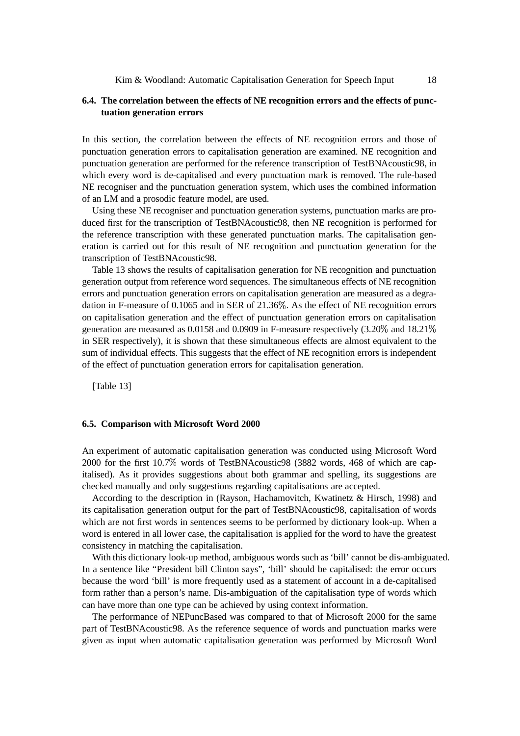### **6.4. The correlation between the effects of NE recognition errors and the effects of punctuation generation errors**

In this section, the correlation between the effects of NE recognition errors and those of punctuation generation errors to capitalisation generation are examined. NE recognition and punctuation generation are performed for the reference transcription of TestBNAcoustic98, in which every word is de-capitalised and every punctuation mark is removed. The rule-based NE recogniser and the punctuation generation system, which uses the combined information of an LM and a prosodic feature model, are used.

Using these NE recogniser and punctuation generation systems, punctuation marks are produced first for the transcription of TestBNAcoustic98, then NE recognition is performed for the reference transcription with these generated punctuation marks. The capitalisation generation is carried out for this result of NE recognition and punctuation generation for the transcription of TestBNAcoustic98.

Table 13 shows the results of capitalisation generation for NE recognition and punctuation generation output from reference word sequences. The simultaneous effects of NE recognition errors and punctuation generation errors on capitalisation generation are measured as a degradation in F-measure of 0.1065 and in SER of 21.36 . As the effect of NE recognition errors on capitalisation generation and the effect of punctuation generation errors on capitalisation generation are measured as 0.0158 and 0.0909 in F-measure respectively (3.20% and 18.21% in SER respectively), it is shown that these simultaneous effects are almost equivalent to the sum of individual effects. This suggests that the effect of NE recognition errors is independent of the effect of punctuation generation errors for capitalisation generation.

[Table 13]

#### **6.5. Comparison with Microsoft Word 2000**

An experiment of automatic capitalisation generation was conducted using Microsoft Word 2000 for the first 10.7 words of TestBNAcoustic98 (3882 words, 468 of which are capitalised). As it provides suggestions about both grammar and spelling, its suggestions are checked manually and only suggestions regarding capitalisations are accepted.

According to the description in (Rayson, Hachamovitch, Kwatinetz & Hirsch, 1998) and its capitalisation generation output for the part of TestBNAcoustic98, capitalisation of words which are not first words in sentences seems to be performed by dictionary look-up. When a word is entered in all lower case, the capitalisation is applied for the word to have the greatest consistency in matching the capitalisation.

With this dictionary look-up method, ambiguous words such as 'bill' cannot be dis-ambiguated. In a sentence like "President bill Clinton says", 'bill' should be capitalised: the error occurs because the word 'bill' is more frequently used as a statement of account in a de-capitalised form rather than a person's name. Dis-ambiguation of the capitalisation type of words which can have more than one type can be achieved by using context information.

The performance of NEPuncBased was compared to that of Microsoft 2000 for the same part of TestBNAcoustic98. As the reference sequence of words and punctuation marks were given as input when automatic capitalisation generation was performed by Microsoft Word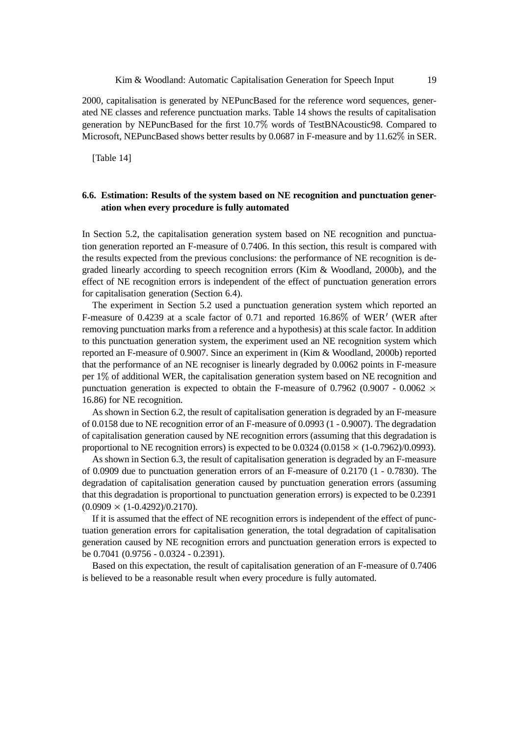2000, capitalisation is generated by NEPuncBased for the reference word sequences, generated NE classes and reference punctuation marks. Table 14 shows the results of capitalisation generation by NEPuncBased for the first 10.7 words of TestBNAcoustic98. Compared to Microsoft, NEPuncBased shows better results by 0.0687 in F-measure and by 11.62 in SER.

[Table 14]

### **6.6. Estimation: Results of the system based on NE recognition and punctuation generation when every procedure is fully automated**

In Section 5.2, the capitalisation generation system based on NE recognition and punctuation generation reported an F-measure of 0.7406. In this section, this result is compared with the results expected from the previous conclusions: the performance of NE recognition is degraded linearly according to speech recognition errors (Kim & Woodland, 2000b), and the effect of NE recognition errors is independent of the effect of punctuation generation errors for capitalisation generation (Section 6.4).

The experiment in Section 5.2 used a punctuation generation system which reported an F-measure of 0.4239 at a scale factor of 0.71 and reported 16.86% of WER' (WER after removing punctuation marks from a reference and a hypothesis) at this scale factor. In addition to this punctuation generation system, the experiment used an NE recognition system which reported an F-measure of 0.9007. Since an experiment in (Kim & Woodland, 2000b) reported that the performance of an NE recogniser is linearly degraded by 0.0062 points in F-measure per 1% of additional WER, the capitalisation generation system based on NE recognition and punctuation generation is expected to obtain the F-measure of 0.7962 (0.9007 - 0.0062  $\times$ 16.86) for NE recognition.

As shown in Section 6.2, the result of capitalisation generation is degraded by an F-measure of 0.0158 due to NE recognition error of an F-measure of 0.0993 (1 - 0.9007). The degradation of capitalisation generation caused by NE recognition errors (assuming that this degradation is proportional to NE recognition errors) is expected to be  $0.0324$  ( $0.0158 \times (1 - 0.7962)/0.0993$ ).

As shown in Section 6.3, the result of capitalisation generation is degraded by an F-measure of 0.0909 due to punctuation generation errors of an F-measure of 0.2170 (1 - 0.7830). The degradation of capitalisation generation caused by punctuation generation errors (assuming that this degradation is proportional to punctuation generation errors) is expected to be 0.2391  $(0.0909 \times (1 - 0.4292)/0.2170).$ 

If it is assumed that the effect of NE recognition errors is independent of the effect of punctuation generation errors for capitalisation generation, the total degradation of capitalisation generation caused by NE recognition errors and punctuation generation errors is expected to be 0.7041 (0.9756 - 0.0324 - 0.2391).

Based on this expectation, the result of capitalisation generation of an F-measure of 0.7406 is believed to be a reasonable result when every procedure is fully automated.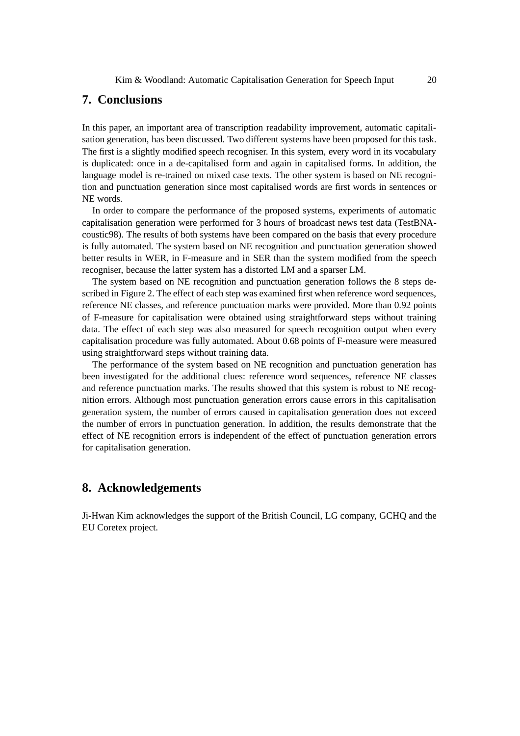# **7. Conclusions**

In this paper, an important area of transcription readability improvement, automatic capitalisation generation, has been discussed. Two different systems have been proposed for this task. The first is a slightly modified speech recogniser. In this system, every word in its vocabulary is duplicated: once in a de-capitalised form and again in capitalised forms. In addition, the language model is re-trained on mixed case texts. The other system is based on NE recognition and punctuation generation since most capitalised words are first words in sentences or NE words.

In order to compare the performance of the proposed systems, experiments of automatic capitalisation generation were performed for 3 hours of broadcast news test data (TestBNAcoustic98). The results of both systems have been compared on the basis that every procedure is fully automated. The system based on NE recognition and punctuation generation showed better results in WER, in F-measure and in SER than the system modified from the speech recogniser, because the latter system has a distorted LM and a sparser LM.

The system based on NE recognition and punctuation generation follows the 8 steps described in Figure 2. The effect of each step was examined first when reference word sequences, reference NE classes, and reference punctuation marks were provided. More than 0.92 points of F-measure for capitalisation were obtained using straightforward steps without training data. The effect of each step was also measured for speech recognition output when every capitalisation procedure was fully automated. About 0.68 points of F-measure were measured using straightforward steps without training data.

The performance of the system based on NE recognition and punctuation generation has been investigated for the additional clues: reference word sequences, reference NE classes and reference punctuation marks. The results showed that this system is robust to NE recognition errors. Although most punctuation generation errors cause errors in this capitalisation generation system, the number of errors caused in capitalisation generation does not exceed the number of errors in punctuation generation. In addition, the results demonstrate that the effect of NE recognition errors is independent of the effect of punctuation generation errors for capitalisation generation.

# **8. Acknowledgements**

Ji-Hwan Kim acknowledges the support of the British Council, LG company, GCHQ and the EU Coretex project.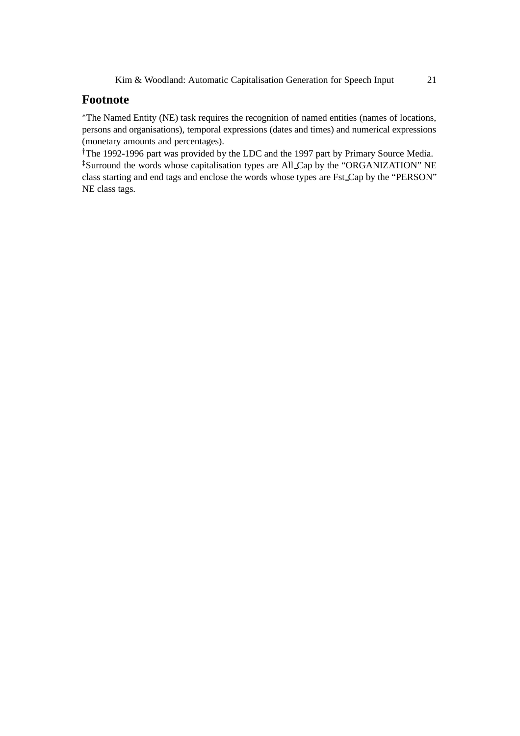# **Footnote**

 The Named Entity (NE) task requires the recognition of named entities (names of locations, persons and organisations), temporal expressions (dates and times) and numerical expressions (monetary amounts and percentages).

<sup>†</sup>The 1992-1996 part was provided by the LDC and the 1997 part by Primary Source Media. Surround the words whose capitalisation types are All Cap by the "ORGANIZATION" NE class starting and end tags and enclose the words whose types are Fst Cap by the "PERSON" NE class tags.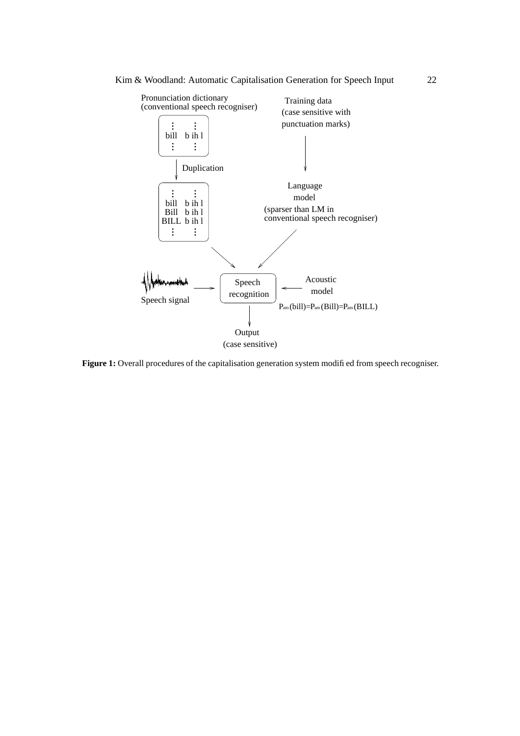



**Figure 1:** Overall procedures of the capitalisation generation system modified from speech recogniser.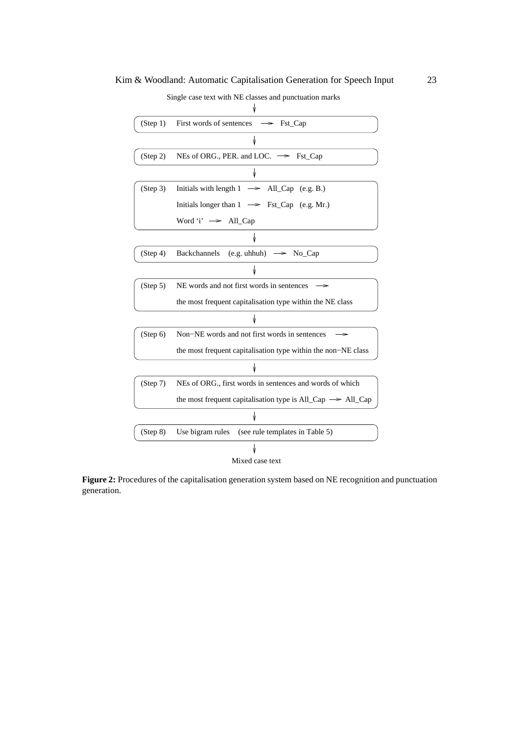$\sqrt{ }$ (Step 1) First words of sentences  $\Rightarrow$  Fst\_Cap ♦ (Step 2) NEs of ORG., PER. and LOC.  $\implies$  Fst\_Cap ♦ (Step 3) Initials with length  $1 \rightarrow \text{All\_Cap}$  (e.g. B.) Initials longer than  $1 \rightarrow$  Fst\_Cap (e.g. Mr.) Word 'i'  $\implies$  All\_Cap ↓ (Step 4) Backchannels (e.g. uhhuh)  $\rightarrow$  No\_Cap ♦ (Step 5) NE words and not first words in sentences  $\rightarrow$ the most frequent capitalisation type within the NE class J Non−NE words and not first words in sentences (Step 6) the most frequent capitalisation type within the non−NE class  $\sqrt{}$ (Step 7) NEs of ORG., first words in sentences and words of which the most frequent capitalisation type is All\_Cap  $\rightarrow$  All\_Cap (Step 8) Use bigram rules (see rule templates in Table 5)  $\sqrt{ }$ Mixed case text

Single case text with NE classes and punctuation marks

**Figure 2:** Procedures of the capitalisation generation system based on NE recognition and punctuation generation.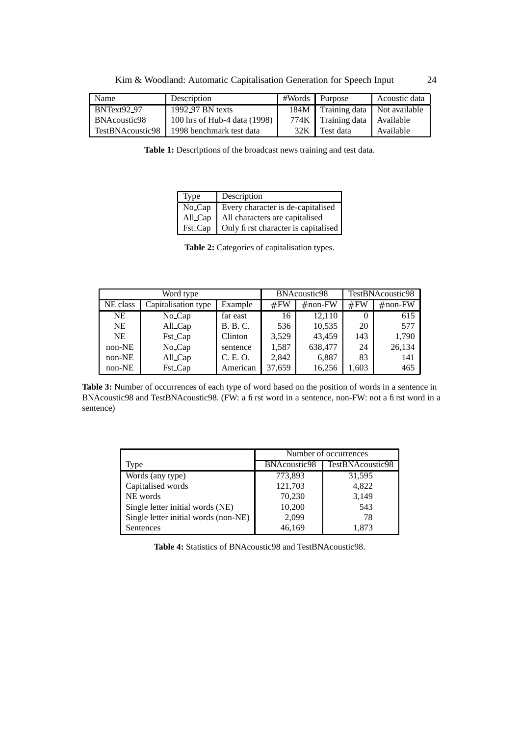| Kim & Woodland: Automatic Capitalisation Generation for Speech Input |  |
|----------------------------------------------------------------------|--|
|----------------------------------------------------------------------|--|

| Name             | Description                  |     | $#Words$ Purpose                 | Acoustic data |
|------------------|------------------------------|-----|----------------------------------|---------------|
| BNText92 97      | 1992 97 BN texts             |     | 184M Training data Not available |               |
| BNAcoustic98     | 100 hrs of Hub-4 data (1998) |     | 774K   Training data   Available |               |
| TestBNAcoustic98 | 1998 benchmark test data     | 32K | Test data                        | Available     |

**Table 1:** Descriptions of the broadcast news training and test data.

| Type    | Description                         |
|---------|-------------------------------------|
| No_Cap  | Every character is de-capitalised   |
| All Cap | All characters are capitalised      |
| Fst_Cap | Only first character is capitalised |

|  | Table 2: Categories of capitalisation types. |  |  |  |
|--|----------------------------------------------|--|--|--|
|--|----------------------------------------------|--|--|--|

|           | Word type           |                 | TestBNAcoustic98<br>BNAcoustic98 |            |          |           |
|-----------|---------------------|-----------------|----------------------------------|------------|----------|-----------|
| NE class  | Capitalisation type | Example         | #FW                              | $#$ non-FW | #FW      | $#non-FW$ |
| <b>NE</b> | No Cap              | far east        | 16                               | 12,110     | $\theta$ | 615       |
| <b>NE</b> | All_Cap             | <b>B. B. C.</b> | 536                              | 10,535     | 20       | 577       |
| <b>NE</b> | Fst_Cap             | Clinton         | 3.529                            | 43.459     | 143      | 1,790     |
| $non-NE$  | No_Cap              | sentence        | 1.587                            | 638,477    | 24       | 26,134    |
| $non-NE$  | All_Cap             | C. E. O.        | 2,842                            | 6,887      | 83       | 141       |
| $non-NE$  | Fst_Cap             | American        | 37,659                           | 16,256     | 1.603    | 465       |

**Table 3:** Number of occurrences of each type of word based on the position of words in a sentence in BNAcoustic98 and TestBNAcoustic98. (FW: a first word in a sentence, non-FW: not a first word in a sentence)

|                                      |              | Number of occurrences |
|--------------------------------------|--------------|-----------------------|
| Type                                 | BNAcoustic98 | TestBNAcoustic98      |
| Words (any type)                     | 773,893      | 31,595                |
| Capitalised words                    | 121,703      | 4,822                 |
| NE words                             | 70,230       | 3,149                 |
| Single letter initial words (NE)     | 10,200       | 543                   |
| Single letter initial words (non-NE) | 2,099        | 78                    |
| Sentences                            | 46,169       | 1.873                 |

**Table 4:** Statistics of BNAcoustic98 and TestBNAcoustic98.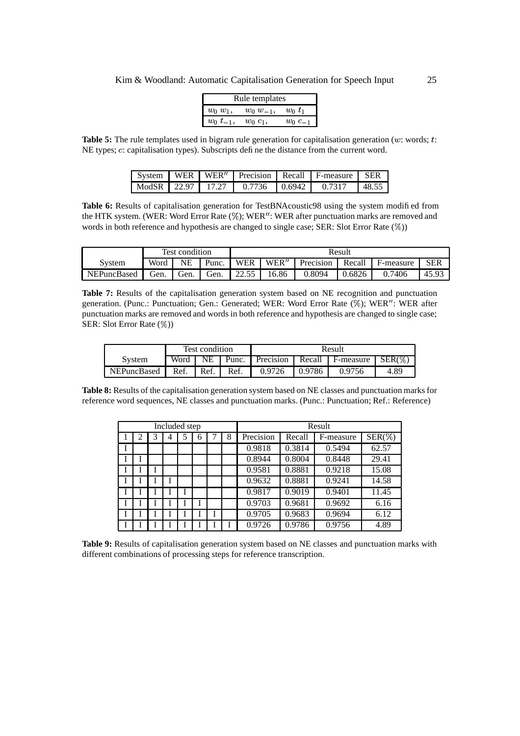| Rule templates   |                  |                |  |  |  |  |  |
|------------------|------------------|----------------|--|--|--|--|--|
| $w_0$ $w_1$ ,    | $w_0$ $w_{-1}$ , | $w_0$ $t_1$    |  |  |  |  |  |
| $w_0$ $t_{-1}$ , | $w_0$ $c_1$ ,    | $w_0$ $c_{-1}$ |  |  |  |  |  |

**Table 5:** The rule templates used in bigram rule generation for capitalisation generation  $(w: words; t:$ NE types; c: capitalisation types). Subscripts define the distance from the current word.

|                   |  |        |        | System   WER   WER"   Precision   Recall   F-measure   SER |        |
|-------------------|--|--------|--------|------------------------------------------------------------|--------|
| ModSR 22.97 17.27 |  | 0.7736 | 0.6942 | 0.7317                                                     | .48.55 |

**Table 6:** Results of capitalisation generation for TestBNAcoustic98 using the system modified from the HTK system. (WER: Word Error Rate  $(\%)$ ; WER": WER after punctuation marks are removed and words in both reference and hypothesis are changed to single case; SER: Slot Error Rate  $(\%)$ )

|             |                            | Test condition |                     |       | Result |                |        |           |            |  |
|-------------|----------------------------|----------------|---------------------|-------|--------|----------------|--------|-----------|------------|--|
| Svstem      | Word<br><b>NE</b><br>Punc. |                |                     | WER   |        | WER" Precision | Recall | F-measure | <b>SER</b> |  |
| NEPuncBased | I Gen.<br>Gen.<br>Gen.     |                | $122.\overline{55}$ | 16.86 | 0.8094 | 0.6826         | 0.7406 | 45.93     |            |  |

**Table 7:** Results of the capitalisation generation system based on NE recognition and punctuation generation. (Punc.: Punctuation; Gen.: Generated; WER: Word Error Rate (%); WER": WER after punctuation marks are removed and words in both reference and hypothesis are changed to single case; SER: Slot Error Rate (%))

|             |              | Test condition |       | Result                  |        |                               |      |  |
|-------------|--------------|----------------|-------|-------------------------|--------|-------------------------------|------|--|
| System      | Word         | NE .           | Punc. | <b>Precision Recall</b> |        | $F$ -measure $\text{SER}(\%)$ |      |  |
| NEPuncBased | Ref.<br>Ref. |                | Ref.  | 0.9726                  | 0.9786 | 0.9756                        | 4.89 |  |

**Table 8:** Results of the capitalisation generation system based on NE classes and punctuation marks for reference word sequences, NE classes and punctuation marks. (Punc.: Punctuation; Ref.: Reference)

|   |   | Included step |   |   |   |           | Result |           |           |  |
|---|---|---------------|---|---|---|-----------|--------|-----------|-----------|--|
| 2 | 3 |               | 5 | 6 | 8 | Precision | Recall | F-measure | $SER(\%)$ |  |
|   |   |               |   |   |   | 0.9818    | 0.3814 | 0.5494    | 62.57     |  |
|   |   |               |   |   |   | 0.8944    | 0.8004 | 0.8448    | 29.41     |  |
|   |   |               |   |   |   | 0.9581    | 0.8881 | 0.9218    | 15.08     |  |
|   |   |               |   |   |   | 0.9632    | 0.8881 | 0.9241    | 14.58     |  |
|   |   |               |   |   |   | 0.9817    | 0.9019 | 0.9401    | 11.45     |  |
|   |   |               |   |   |   | 0.9703    | 0.9681 | 0.9692    | 6.16      |  |
|   |   |               |   |   |   | 0.9705    | 0.9683 | 0.9694    | 6.12      |  |
|   |   |               |   |   |   | 0.9726    | 0.9786 | 0.9756    | 4.89      |  |

**Table 9:** Results of capitalisation generation system based on NE classes and punctuation marks with different combinations of processing steps for reference transcription.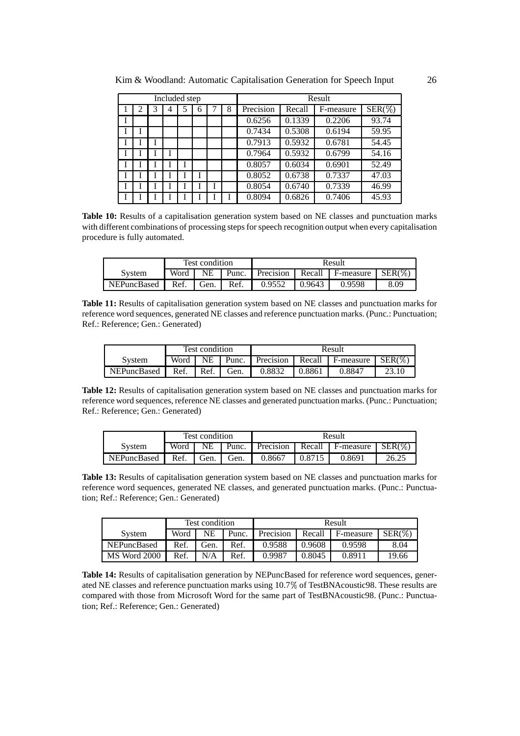|  |   | Included step |   |   |           | Result |           |           |  |  |
|--|---|---------------|---|---|-----------|--------|-----------|-----------|--|--|
|  | 3 | 4             | 6 | 8 | Precision | Recall | F-measure | $SER(\%)$ |  |  |
|  |   |               |   |   | 0.6256    | 0.1339 | 0.2206    | 93.74     |  |  |
|  |   |               |   |   | 0.7434    | 0.5308 | 0.6194    | 59.95     |  |  |
|  |   |               |   |   | 0.7913    | 0.5932 | 0.6781    | 54.45     |  |  |
|  |   |               |   |   | 0.7964    | 0.5932 | 0.6799    | 54.16     |  |  |
|  |   |               |   |   | 0.8057    | 0.6034 | 0.6901    | 52.49     |  |  |
|  |   |               |   |   | 0.8052    | 0.6738 | 0.7337    | 47.03     |  |  |
|  |   |               |   |   | 0.8054    | 0.6740 | 0.7339    | 46.99     |  |  |
|  |   |               |   |   | 0.8094    | 0.6826 | 0.7406    | 45.93     |  |  |

Kim & Woodland: Automatic Capitalisation Generation for Speech Input 26

**Table 10:** Results of a capitalisation generation system based on NE classes and punctuation marks with different combinations of processing steps for speech recognition output when every capitalisation procedure is fully automated.

|                       | Test condition |  |      | Result |        |                                     |           |
|-----------------------|----------------|--|------|--------|--------|-------------------------------------|-----------|
| System                | Word 1         |  |      |        |        | NE Punc. Precision Recall F-measure | $SER(\%)$ |
| NEPuncBased Ref. Gen. |                |  | Ref. | 0.9552 | 0.9643 | 0.9598                              | 8.09      |

**Table 11:** Results of capitalisation generation system based on NE classes and punctuation marks for reference word sequences, generated NE classes and reference punctuation marks. (Punc.: Punctuation; Ref.: Reference; Gen.: Generated)

|             | Test condition |      |       | Result |        |                                                    |       |
|-------------|----------------|------|-------|--------|--------|----------------------------------------------------|-------|
| System      | Word           | NE . | Punc. |        |        | <b>Precision   Recall   F-measure   SER</b> $(\%)$ |       |
| NEPuncBased | Ref.           | Ref. | Gen.  | 0.8832 | 0.8861 | 0.8847                                             | 23.10 |

**Table 12:** Results of capitalisation generation system based on NE classes and punctuation marks for reference word sequences, reference NE classes and generated punctuation marks. (Punc.: Punctuation; Ref.: Reference; Gen.: Generated)

|             | Test condition |           |      | Result          |        |           |           |
|-------------|----------------|-----------|------|-----------------|--------|-----------|-----------|
| System      | Word           | <b>NE</b> |      | Punc. Precision | Recall | F-measure | $SER(\%)$ |
| NEPuncBased | Ref.           | Gen.      | Gen. | 0.8667          | 0.8715 | 0.8691    | 26.25     |

**Table 13:** Results of capitalisation generation system based on NE classes and punctuation marks for reference word sequences, generated NE classes, and generated punctuation marks. (Punc.: Punctuation; Ref.: Reference; Gen.: Generated)

|                     | Test condition |      |       | Result    |        |           |            |
|---------------------|----------------|------|-------|-----------|--------|-----------|------------|
| System              | Word           | NE   | Punc. | Precision | Recall | F-measure | $SER(\% )$ |
| <b>NEPuncBased</b>  | Ref.           | Gen. | Ref.  | 0.9588    | 0.9608 | 0.9598    | 8.04       |
| <b>MS</b> Word 2000 | Ref.           | N/A  | Ref   | 0.9987    | 0.8045 | 0.8911    | 19.66      |

**Table 14:** Results of capitalisation generation by NEPuncBased for reference word sequences, generated NE classes and reference punctuation marks using 10.7 of TestBNAcoustic98. These results are compared with those from Microsoft Word for the same part of TestBNAcoustic98. (Punc.: Punctuation; Ref.: Reference; Gen.: Generated)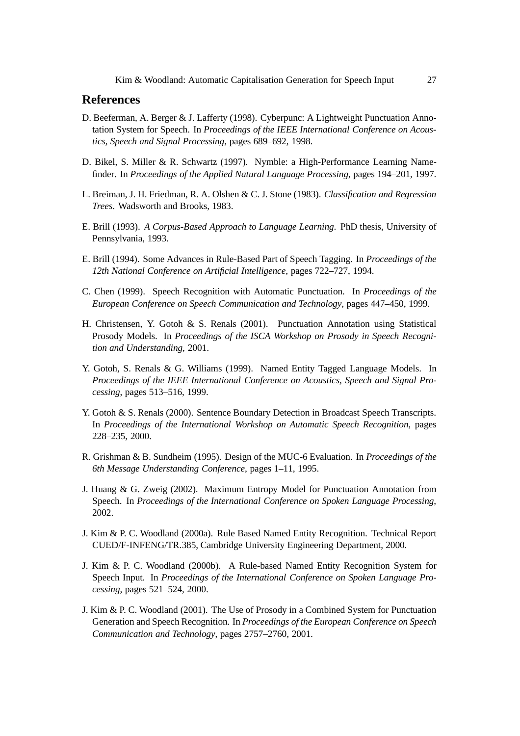# **References**

- D. Beeferman, A. Berger & J. Lafferty (1998). Cyberpunc: A Lightweight Punctuation Annotation System for Speech. In *Proceedings of the IEEE International Conference on Acoustics, Speech and Signal Processing*, pages 689–692, 1998.
- D. Bikel, S. Miller & R. Schwartz (1997). Nymble: a High-Performance Learning Namefinder. In *Proceedings of the Applied Natural Language Processing*, pages 194–201, 1997.
- L. Breiman, J. H. Friedman, R. A. Olshen & C. J. Stone (1983). *Classification and Regression Trees*. Wadsworth and Brooks, 1983.
- E. Brill (1993). *A Corpus-Based Approach to Language Learning*. PhD thesis, University of Pennsylvania, 1993.
- E. Brill (1994). Some Advances in Rule-Based Part of Speech Tagging. In *Proceedings of the 12th National Conference on Artificial Intelligence*, pages 722–727, 1994.
- C. Chen (1999). Speech Recognition with Automatic Punctuation. In *Proceedings of the European Conference on Speech Communication and Technology*, pages 447–450, 1999.
- H. Christensen, Y. Gotoh & S. Renals (2001). Punctuation Annotation using Statistical Prosody Models. In *Proceedings of the ISCA Workshop on Prosody in Speech Recognition and Understanding*, 2001.
- Y. Gotoh, S. Renals & G. Williams (1999). Named Entity Tagged Language Models. In *Proceedings of the IEEE International Conference on Acoustics, Speech and Signal Processing*, pages 513–516, 1999.
- Y. Gotoh & S. Renals (2000). Sentence Boundary Detection in Broadcast Speech Transcripts. In *Proceedings of the International Workshop on Automatic Speech Recognition*, pages 228–235, 2000.
- R. Grishman & B. Sundheim (1995). Design of the MUC-6 Evaluation. In *Proceedings of the 6th Message Understanding Conference*, pages 1–11, 1995.
- J. Huang & G. Zweig (2002). Maximum Entropy Model for Punctuation Annotation from Speech. In *Proceedings of the International Conference on Spoken Language Processing*, 2002.
- J. Kim & P. C. Woodland (2000a). Rule Based Named Entity Recognition. Technical Report CUED/F-INFENG/TR.385, Cambridge University Engineering Department, 2000.
- J. Kim & P. C. Woodland (2000b). A Rule-based Named Entity Recognition System for Speech Input. In *Proceedings of the International Conference on Spoken Language Processing*, pages 521–524, 2000.
- J. Kim & P. C. Woodland (2001). The Use of Prosody in a Combined System for Punctuation Generation and Speech Recognition. In *Proceedings of the European Conference on Speech Communication and Technology*, pages 2757–2760, 2001.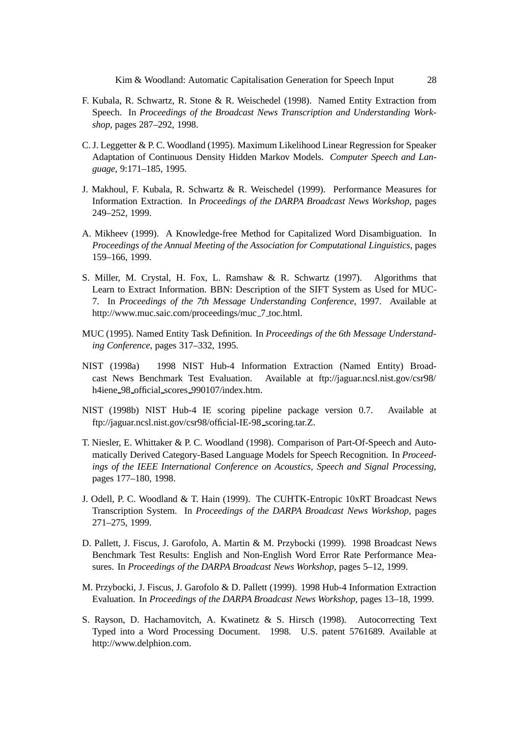- F. Kubala, R. Schwartz, R. Stone & R. Weischedel (1998). Named Entity Extraction from Speech. In *Proceedings of the Broadcast News Transcription and Understanding Workshop*, pages 287–292, 1998.
- C.J. Leggetter & P. C. Woodland (1995). Maximum Likelihood Linear Regression for Speaker Adaptation of Continuous Density Hidden Markov Models. *Computer Speech and Language*, 9:171–185, 1995.
- J. Makhoul, F. Kubala, R. Schwartz & R. Weischedel (1999). Performance Measures for Information Extraction. In *Proceedings of the DARPA Broadcast News Workshop*, pages 249–252, 1999.
- A. Mikheev (1999). A Knowledge-free Method for Capitalized Word Disambiguation. In *Proceedings of the Annual Meeting of the Association for Computational Linguistics*, pages 159–166, 1999.
- S. Miller, M. Crystal, H. Fox, L. Ramshaw & R. Schwartz (1997). Algorithms that Learn to Extract Information. BBN: Description of the SIFT System as Used for MUC-7. In *Proceedings of the 7th Message Understanding Conference*, 1997. Available at http://www.muc.saic.com/proceedings/muc\_7\_toc.html.
- MUC (1995). Named Entity Task Definition. In *Proceedings of the 6th Message Understanding Conference*, pages 317–332, 1995.
- NIST (1998a) 1998 NIST Hub-4 Information Extraction (Named Entity) Broadcast News Benchmark Test Evaluation. Available at ftp://jaguar.ncsl.nist.gov/csr98/ h4iene 98 official scores 990107/index.htm.
- NIST (1998b) NIST Hub-4 IE scoring pipeline package version 0.7. Available at ftp://jaguar.ncsl.nist.gov/csr98/official-IE-98 scoring.tar.Z.
- T. Niesler, E. Whittaker & P. C. Woodland (1998). Comparison of Part-Of-Speech and Automatically Derived Category-Based Language Models for Speech Recognition. In *Proceedings of the IEEE International Conference on Acoustics, Speech and Signal Processing*, pages 177–180, 1998.
- J. Odell, P. C. Woodland & T. Hain (1999). The CUHTK-Entropic 10xRT Broadcast News Transcription System. In *Proceedings of the DARPA Broadcast News Workshop*, pages 271–275, 1999.
- D. Pallett, J. Fiscus, J. Garofolo, A. Martin & M. Przybocki (1999). 1998 Broadcast News Benchmark Test Results: English and Non-English Word Error Rate Performance Measures. In *Proceedings of the DARPA Broadcast News Workshop*, pages 5–12, 1999.
- M. Przybocki, J. Fiscus, J. Garofolo & D. Pallett (1999). 1998 Hub-4 Information Extraction Evaluation. In *Proceedings of the DARPA Broadcast News Workshop*, pages 13–18, 1999.
- S. Rayson, D. Hachamovitch, A. Kwatinetz & S. Hirsch (1998). Autocorrecting Text Typed into a Word Processing Document. 1998. U.S. patent 5761689. Available at http://www.delphion.com.